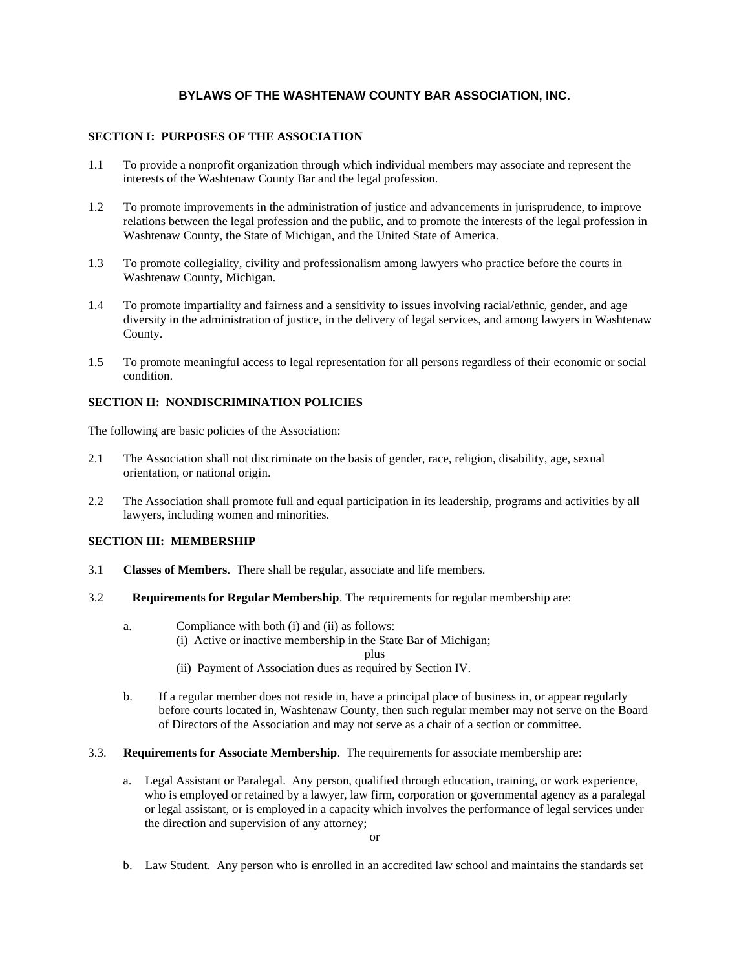# **BYLAWS OF THE WASHTENAW COUNTY BAR ASSOCIATION, INC.**

#### **SECTION I: PURPOSES OF THE ASSOCIATION**

- 1.1 To provide a nonprofit organization through which individual members may associate and represent the interests of the Washtenaw County Bar and the legal profession.
- 1.2 To promote improvements in the administration of justice and advancements in jurisprudence, to improve relations between the legal profession and the public, and to promote the interests of the legal profession in Washtenaw County, the State of Michigan, and the United State of America.
- 1.3 To promote collegiality, civility and professionalism among lawyers who practice before the courts in Washtenaw County, Michigan.
- 1.4 To promote impartiality and fairness and a sensitivity to issues involving racial/ethnic, gender, and age diversity in the administration of justice, in the delivery of legal services, and among lawyers in Washtenaw County.
- 1.5 To promote meaningful access to legal representation for all persons regardless of their economic or social condition.

## **SECTION II: NONDISCRIMINATION POLICIES**

The following are basic policies of the Association:

- 2.1 The Association shall not discriminate on the basis of gender, race, religion, disability, age, sexual orientation, or national origin.
- 2.2 The Association shall promote full and equal participation in its leadership, programs and activities by all lawyers, including women and minorities.

#### **SECTION III: MEMBERSHIP**

- 3.1 **Classes of Members**. There shall be regular, associate and life members.
- 3.2 **Requirements for Regular Membership**. The requirements for regular membership are:
	- a. Compliance with both (i) and (ii) as follows: (i) Active or inactive membership in the State Bar of Michigan; plus
		- (ii) Payment of Association dues as required by Section IV.
	- b. If a regular member does not reside in, have a principal place of business in, or appear regularly before courts located in, Washtenaw County, then such regular member may not serve on the Board of Directors of the Association and may not serve as a chair of a section or committee.
- 3.3. **Requirements for Associate Membership**. The requirements for associate membership are:
	- a. Legal Assistant or Paralegal. Any person, qualified through education, training, or work experience, who is employed or retained by a lawyer, law firm, corporation or governmental agency as a paralegal or legal assistant, or is employed in a capacity which involves the performance of legal services under the direction and supervision of any attorney;

b. Law Student. Any person who is enrolled in an accredited law school and maintains the standards set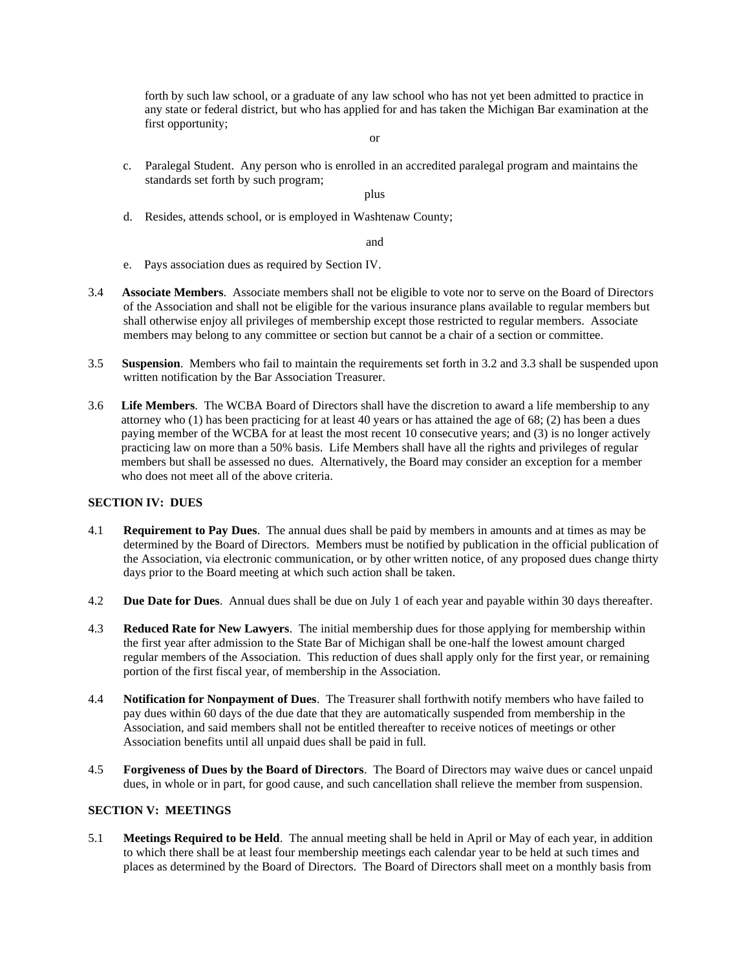forth by such law school, or a graduate of any law school who has not yet been admitted to practice in any state or federal district, but who has applied for and has taken the Michigan Bar examination at the first opportunity;

- or
- c. Paralegal Student. Any person who is enrolled in an accredited paralegal program and maintains the standards set forth by such program;

plus

d. Resides, attends school, or is employed in Washtenaw County;

and

- e. Pays association dues as required by Section IV.
- 3.4 **Associate Members**. Associate members shall not be eligible to vote nor to serve on the Board of Directors of the Association and shall not be eligible for the various insurance plans available to regular members but shall otherwise enjoy all privileges of membership except those restricted to regular members. Associate members may belong to any committee or section but cannot be a chair of a section or committee.
- 3.5 **Suspension**. Members who fail to maintain the requirements set forth in 3.2 and 3.3 shall be suspended upon written notification by the Bar Association Treasurer.
- 3.6 **Life Members**. The WCBA Board of Directors shall have the discretion to award a life membership to any attorney who (1) has been practicing for at least 40 years or has attained the age of 68; (2) has been a dues paying member of the WCBA for at least the most recent 10 consecutive years; and (3) is no longer actively practicing law on more than a 50% basis. Life Members shall have all the rights and privileges of regular members but shall be assessed no dues. Alternatively, the Board may consider an exception for a member who does not meet all of the above criteria.

#### **SECTION IV: DUES**

- 4.1 **Requirement to Pay Dues**. The annual dues shall be paid by members in amounts and at times as may be determined by the Board of Directors. Members must be notified by publication in the official publication of the Association, via electronic communication, or by other written notice, of any proposed dues change thirty days prior to the Board meeting at which such action shall be taken.
- 4.2 **Due Date for Dues**. Annual dues shall be due on July 1 of each year and payable within 30 days thereafter.
- 4.3 **Reduced Rate for New Lawyers**. The initial membership dues for those applying for membership within the first year after admission to the State Bar of Michigan shall be one-half the lowest amount charged regular members of the Association. This reduction of dues shall apply only for the first year, or remaining portion of the first fiscal year, of membership in the Association.
- 4.4 **Notification for Nonpayment of Dues**. The Treasurer shall forthwith notify members who have failed to pay dues within 60 days of the due date that they are automatically suspended from membership in the Association, and said members shall not be entitled thereafter to receive notices of meetings or other Association benefits until all unpaid dues shall be paid in full.
- 4.5 **Forgiveness of Dues by the Board of Directors**. The Board of Directors may waive dues or cancel unpaid dues, in whole or in part, for good cause, and such cancellation shall relieve the member from suspension.

### **SECTION V: MEETINGS**

5.1 **Meetings Required to be Held**. The annual meeting shall be held in April or May of each year, in addition to which there shall be at least four membership meetings each calendar year to be held at such times and places as determined by the Board of Directors. The Board of Directors shall meet on a monthly basis from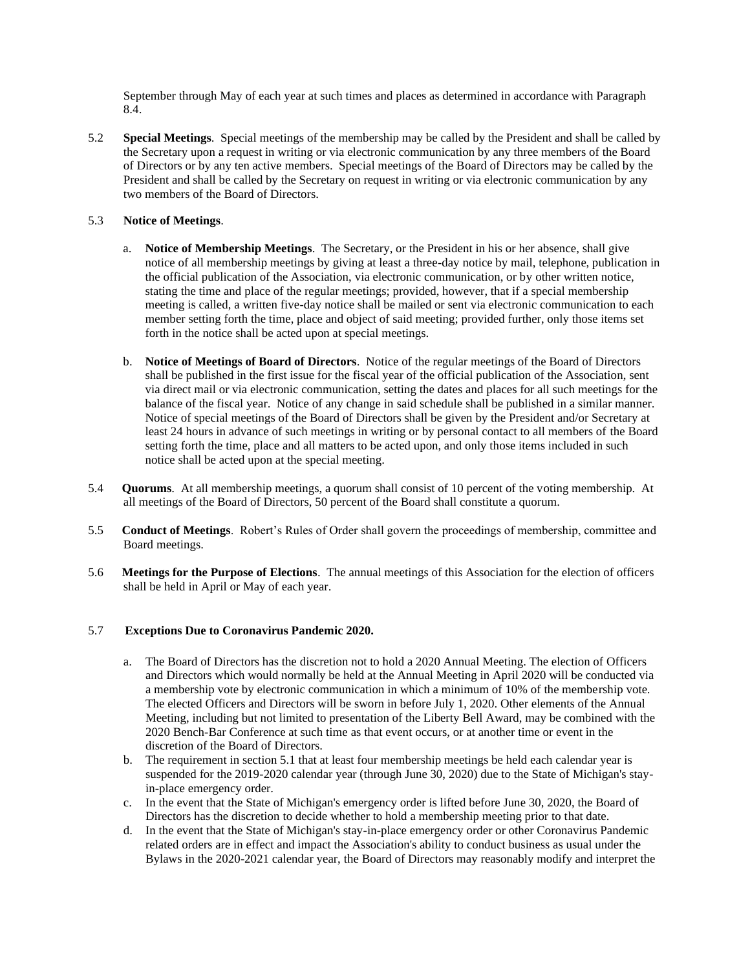September through May of each year at such times and places as determined in accordance with Paragraph 8.4.

5.2 **Special Meetings**. Special meetings of the membership may be called by the President and shall be called by the Secretary upon a request in writing or via electronic communication by any three members of the Board of Directors or by any ten active members. Special meetings of the Board of Directors may be called by the President and shall be called by the Secretary on request in writing or via electronic communication by any two members of the Board of Directors.

# 5.3 **Notice of Meetings**.

- a. **Notice of Membership Meetings**. The Secretary, or the President in his or her absence, shall give notice of all membership meetings by giving at least a three-day notice by mail, telephone, publication in the official publication of the Association, via electronic communication, or by other written notice, stating the time and place of the regular meetings; provided, however, that if a special membership meeting is called, a written five-day notice shall be mailed or sent via electronic communication to each member setting forth the time, place and object of said meeting; provided further, only those items set forth in the notice shall be acted upon at special meetings.
- b. **Notice of Meetings of Board of Directors**. Notice of the regular meetings of the Board of Directors shall be published in the first issue for the fiscal year of the official publication of the Association, sent via direct mail or via electronic communication, setting the dates and places for all such meetings for the balance of the fiscal year. Notice of any change in said schedule shall be published in a similar manner. Notice of special meetings of the Board of Directors shall be given by the President and/or Secretary at least 24 hours in advance of such meetings in writing or by personal contact to all members of the Board setting forth the time, place and all matters to be acted upon, and only those items included in such notice shall be acted upon at the special meeting.
- 5.4 **Quorums**. At all membership meetings, a quorum shall consist of 10 percent of the voting membership. At all meetings of the Board of Directors, 50 percent of the Board shall constitute a quorum.
- 5.5 **Conduct of Meetings**. Robert's Rules of Order shall govern the proceedings of membership, committee and Board meetings.
- 5.6 **Meetings for the Purpose of Elections**. The annual meetings of this Association for the election of officers shall be held in April or May of each year.

## 5.7 **Exceptions Due to Coronavirus Pandemic 2020.**

- a. The Board of Directors has the discretion not to hold a 2020 Annual Meeting. The election of Officers and Directors which would normally be held at the Annual Meeting in April 2020 will be conducted via a membership vote by electronic communication in which a minimum of 10% of the membership vote. The elected Officers and Directors will be sworn in before July 1, 2020. Other elements of the Annual Meeting, including but not limited to presentation of the Liberty Bell Award, may be combined with the 2020 Bench-Bar Conference at such time as that event occurs, or at another time or event in the discretion of the Board of Directors.
- b. The requirement in section 5.1 that at least four membership meetings be held each calendar year is suspended for the 2019-2020 calendar year (through June 30, 2020) due to the State of Michigan's stayin-place emergency order.
- c. In the event that the State of Michigan's emergency order is lifted before June 30, 2020, the Board of Directors has the discretion to decide whether to hold a membership meeting prior to that date.
- d. In the event that the State of Michigan's stay-in-place emergency order or other Coronavirus Pandemic related orders are in effect and impact the Association's ability to conduct business as usual under the Bylaws in the 2020-2021 calendar year, the Board of Directors may reasonably modify and interpret the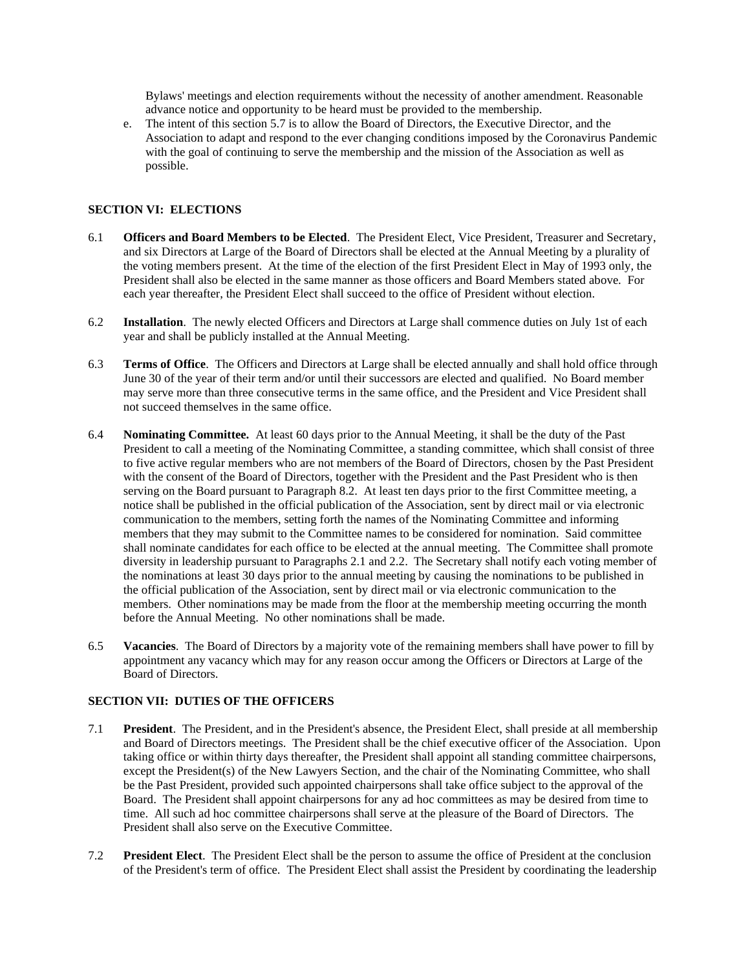Bylaws' meetings and election requirements without the necessity of another amendment. Reasonable advance notice and opportunity to be heard must be provided to the membership.

e. The intent of this section 5.7 is to allow the Board of Directors, the Executive Director, and the Association to adapt and respond to the ever changing conditions imposed by the Coronavirus Pandemic with the goal of continuing to serve the membership and the mission of the Association as well as possible.

#### **SECTION VI: ELECTIONS**

- 6.1 **Officers and Board Members to be Elected**. The President Elect, Vice President, Treasurer and Secretary, and six Directors at Large of the Board of Directors shall be elected at the Annual Meeting by a plurality of the voting members present. At the time of the election of the first President Elect in May of 1993 only, the President shall also be elected in the same manner as those officers and Board Members stated above. For each year thereafter, the President Elect shall succeed to the office of President without election.
- 6.2 **Installation**. The newly elected Officers and Directors at Large shall commence duties on July 1st of each year and shall be publicly installed at the Annual Meeting.
- 6.3 **Terms of Office**. The Officers and Directors at Large shall be elected annually and shall hold office through June 30 of the year of their term and/or until their successors are elected and qualified. No Board member may serve more than three consecutive terms in the same office, and the President and Vice President shall not succeed themselves in the same office.
- 6.4 **Nominating Committee.** At least 60 days prior to the Annual Meeting, it shall be the duty of the Past President to call a meeting of the Nominating Committee, a standing committee, which shall consist of three to five active regular members who are not members of the Board of Directors, chosen by the Past President with the consent of the Board of Directors, together with the President and the Past President who is then serving on the Board pursuant to Paragraph 8.2. At least ten days prior to the first Committee meeting, a notice shall be published in the official publication of the Association, sent by direct mail or via electronic communication to the members, setting forth the names of the Nominating Committee and informing members that they may submit to the Committee names to be considered for nomination. Said committee shall nominate candidates for each office to be elected at the annual meeting. The Committee shall promote diversity in leadership pursuant to Paragraphs 2.1 and 2.2. The Secretary shall notify each voting member of the nominations at least 30 days prior to the annual meeting by causing the nominations to be published in the official publication of the Association, sent by direct mail or via electronic communication to the members. Other nominations may be made from the floor at the membership meeting occurring the month before the Annual Meeting. No other nominations shall be made.
- 6.5 **Vacancies**. The Board of Directors by a majority vote of the remaining members shall have power to fill by appointment any vacancy which may for any reason occur among the Officers or Directors at Large of the Board of Directors.

## **SECTION VII: DUTIES OF THE OFFICERS**

- 7.1 **President**. The President, and in the President's absence, the President Elect, shall preside at all membership and Board of Directors meetings. The President shall be the chief executive officer of the Association. Upon taking office or within thirty days thereafter, the President shall appoint all standing committee chairpersons, except the President(s) of the New Lawyers Section, and the chair of the Nominating Committee, who shall be the Past President, provided such appointed chairpersons shall take office subject to the approval of the Board. The President shall appoint chairpersons for any ad hoc committees as may be desired from time to time. All such ad hoc committee chairpersons shall serve at the pleasure of the Board of Directors. The President shall also serve on the Executive Committee.
- 7.2 **President Elect**. The President Elect shall be the person to assume the office of President at the conclusion of the President's term of office. The President Elect shall assist the President by coordinating the leadership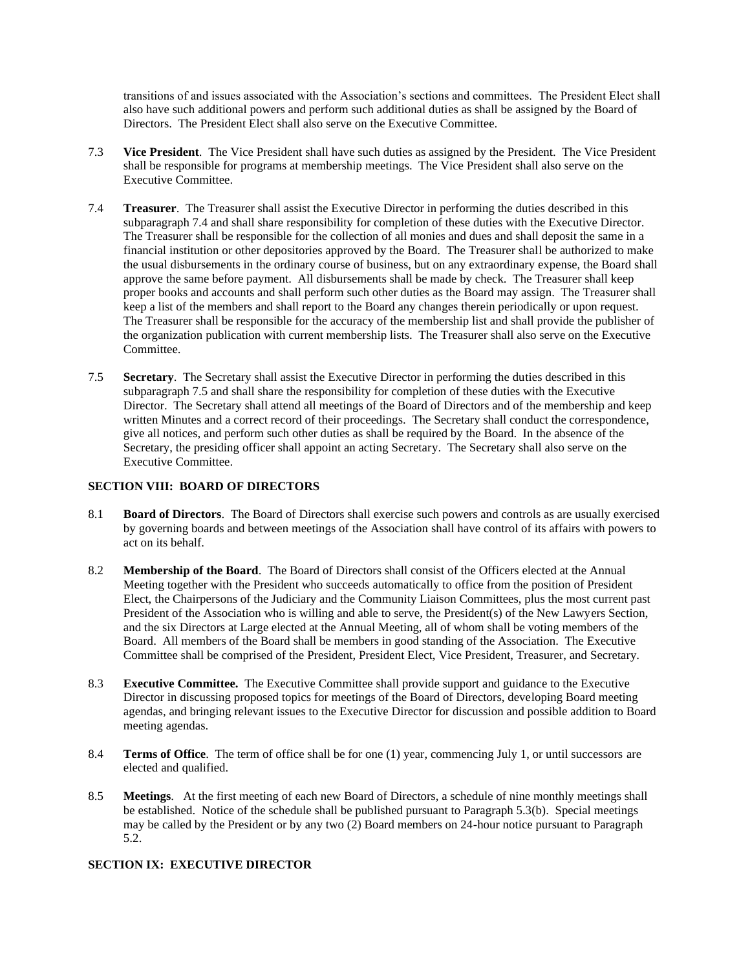transitions of and issues associated with the Association's sections and committees. The President Elect shall also have such additional powers and perform such additional duties as shall be assigned by the Board of Directors. The President Elect shall also serve on the Executive Committee.

- 7.3 **Vice President**. The Vice President shall have such duties as assigned by the President. The Vice President shall be responsible for programs at membership meetings. The Vice President shall also serve on the Executive Committee.
- 7.4 **Treasurer**. The Treasurer shall assist the Executive Director in performing the duties described in this subparagraph 7.4 and shall share responsibility for completion of these duties with the Executive Director. The Treasurer shall be responsible for the collection of all monies and dues and shall deposit the same in a financial institution or other depositories approved by the Board. The Treasurer shall be authorized to make the usual disbursements in the ordinary course of business, but on any extraordinary expense, the Board shall approve the same before payment. All disbursements shall be made by check. The Treasurer shall keep proper books and accounts and shall perform such other duties as the Board may assign. The Treasurer shall keep a list of the members and shall report to the Board any changes therein periodically or upon request. The Treasurer shall be responsible for the accuracy of the membership list and shall provide the publisher of the organization publication with current membership lists. The Treasurer shall also serve on the Executive Committee.
- 7.5 **Secretary**. The Secretary shall assist the Executive Director in performing the duties described in this subparagraph 7.5 and shall share the responsibility for completion of these duties with the Executive Director. The Secretary shall attend all meetings of the Board of Directors and of the membership and keep written Minutes and a correct record of their proceedings. The Secretary shall conduct the correspondence, give all notices, and perform such other duties as shall be required by the Board. In the absence of the Secretary, the presiding officer shall appoint an acting Secretary. The Secretary shall also serve on the Executive Committee.

## **SECTION VIII: BOARD OF DIRECTORS**

- 8.1 **Board of Directors**. The Board of Directors shall exercise such powers and controls as are usually exercised by governing boards and between meetings of the Association shall have control of its affairs with powers to act on its behalf.
- 8.2 **Membership of the Board**. The Board of Directors shall consist of the Officers elected at the Annual Meeting together with the President who succeeds automatically to office from the position of President Elect, the Chairpersons of the Judiciary and the Community Liaison Committees, plus the most current past President of the Association who is willing and able to serve, the President(s) of the New Lawyers Section, and the six Directors at Large elected at the Annual Meeting, all of whom shall be voting members of the Board. All members of the Board shall be members in good standing of the Association. The Executive Committee shall be comprised of the President, President Elect, Vice President, Treasurer, and Secretary.
- 8.3 **Executive Committee.** The Executive Committee shall provide support and guidance to the Executive Director in discussing proposed topics for meetings of the Board of Directors, developing Board meeting agendas, and bringing relevant issues to the Executive Director for discussion and possible addition to Board meeting agendas.
- 8.4 **Terms of Office**. The term of office shall be for one (1) year, commencing July 1, or until successors are elected and qualified.
- 8.5 **Meetings**. At the first meeting of each new Board of Directors, a schedule of nine monthly meetings shall be established. Notice of the schedule shall be published pursuant to Paragraph 5.3(b). Special meetings may be called by the President or by any two (2) Board members on 24-hour notice pursuant to Paragraph 5.2.

# **SECTION IX: EXECUTIVE DIRECTOR**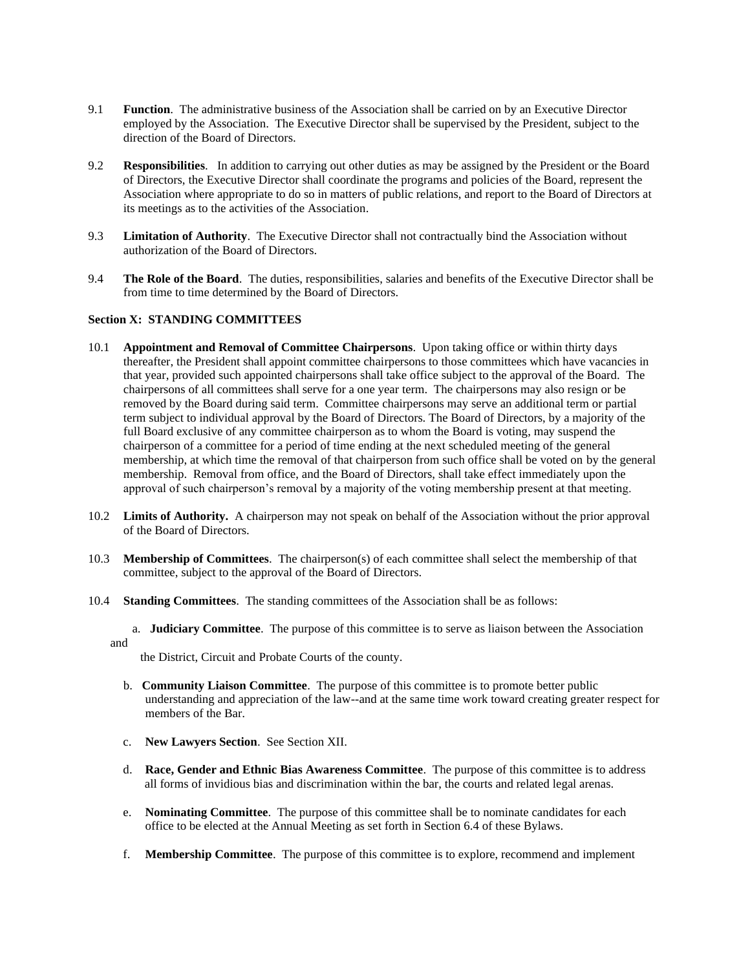- 9.1 **Function**. The administrative business of the Association shall be carried on by an Executive Director employed by the Association. The Executive Director shall be supervised by the President, subject to the direction of the Board of Directors.
- 9.2 **Responsibilities**. In addition to carrying out other duties as may be assigned by the President or the Board of Directors, the Executive Director shall coordinate the programs and policies of the Board, represent the Association where appropriate to do so in matters of public relations, and report to the Board of Directors at its meetings as to the activities of the Association.
- 9.3 **Limitation of Authority**. The Executive Director shall not contractually bind the Association without authorization of the Board of Directors.
- 9.4 **The Role of the Board**. The duties, responsibilities, salaries and benefits of the Executive Director shall be from time to time determined by the Board of Directors.

#### **Section X: STANDING COMMITTEES**

- 10.1 **Appointment and Removal of Committee Chairpersons**. Upon taking office or within thirty days thereafter, the President shall appoint committee chairpersons to those committees which have vacancies in that year, provided such appointed chairpersons shall take office subject to the approval of the Board. The chairpersons of all committees shall serve for a one year term. The chairpersons may also resign or be removed by the Board during said term. Committee chairpersons may serve an additional term or partial term subject to individual approval by the Board of Directors. The Board of Directors, by a majority of the full Board exclusive of any committee chairperson as to whom the Board is voting, may suspend the chairperson of a committee for a period of time ending at the next scheduled meeting of the general membership, at which time the removal of that chairperson from such office shall be voted on by the general membership. Removal from office, and the Board of Directors, shall take effect immediately upon the approval of such chairperson's removal by a majority of the voting membership present at that meeting.
- 10.2 **Limits of Authority.** A chairperson may not speak on behalf of the Association without the prior approval of the Board of Directors.
- 10.3 **Membership of Committees**. The chairperson(s) of each committee shall select the membership of that committee, subject to the approval of the Board of Directors.
- 10.4 **Standing Committees**. The standing committees of the Association shall be as follows:
	- a. **Judiciary Committee**. The purpose of this committee is to serve as liaison between the Association and

the District, Circuit and Probate Courts of the county.

- b. **Community Liaison Committee**. The purpose of this committee is to promote better public understanding and appreciation of the law--and at the same time work toward creating greater respect for members of the Bar.
- c. **New Lawyers Section**. See Section XII.
- d. **Race, Gender and Ethnic Bias Awareness Committee**. The purpose of this committee is to address all forms of invidious bias and discrimination within the bar, the courts and related legal arenas.
- e. **Nominating Committee**. The purpose of this committee shall be to nominate candidates for each office to be elected at the Annual Meeting as set forth in Section 6.4 of these Bylaws.
- f. **Membership Committee**. The purpose of this committee is to explore, recommend and implement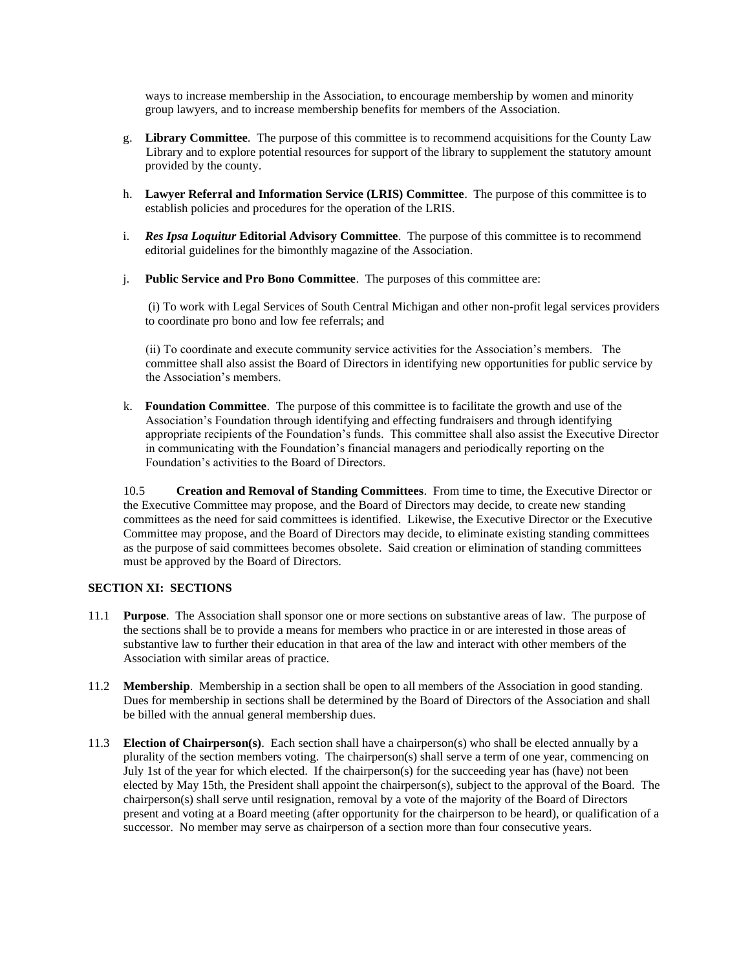ways to increase membership in the Association, to encourage membership by women and minority group lawyers, and to increase membership benefits for members of the Association.

- g. **Library Committee**. The purpose of this committee is to recommend acquisitions for the County Law Library and to explore potential resources for support of the library to supplement the statutory amount provided by the county.
- h. **Lawyer Referral and Information Service (LRIS) Committee**. The purpose of this committee is to establish policies and procedures for the operation of the LRIS.
- i. *Res Ipsa Loquitur* **Editorial Advisory Committee**. The purpose of this committee is to recommend editorial guidelines for the bimonthly magazine of the Association.
- j. **Public Service and Pro Bono Committee**. The purposes of this committee are:

(i) To work with Legal Services of South Central Michigan and other non-profit legal services providers to coordinate pro bono and low fee referrals; and

(ii) To coordinate and execute community service activities for the Association's members. The committee shall also assist the Board of Directors in identifying new opportunities for public service by the Association's members.

k. **Foundation Committee**. The purpose of this committee is to facilitate the growth and use of the Association's Foundation through identifying and effecting fundraisers and through identifying appropriate recipients of the Foundation's funds. This committee shall also assist the Executive Director in communicating with the Foundation's financial managers and periodically reporting on the Foundation's activities to the Board of Directors.

10.5 **Creation and Removal of Standing Committees**. From time to time, the Executive Director or the Executive Committee may propose, and the Board of Directors may decide, to create new standing committees as the need for said committees is identified. Likewise, the Executive Director or the Executive Committee may propose, and the Board of Directors may decide, to eliminate existing standing committees as the purpose of said committees becomes obsolete. Said creation or elimination of standing committees must be approved by the Board of Directors.

## **SECTION XI: SECTIONS**

- 11.1 **Purpose**. The Association shall sponsor one or more sections on substantive areas of law. The purpose of the sections shall be to provide a means for members who practice in or are interested in those areas of substantive law to further their education in that area of the law and interact with other members of the Association with similar areas of practice.
- 11.2 **Membership**. Membership in a section shall be open to all members of the Association in good standing. Dues for membership in sections shall be determined by the Board of Directors of the Association and shall be billed with the annual general membership dues.
- 11.3 **Election of Chairperson(s)**. Each section shall have a chairperson(s) who shall be elected annually by a plurality of the section members voting. The chairperson(s) shall serve a term of one year, commencing on July 1st of the year for which elected. If the chairperson(s) for the succeeding year has (have) not been elected by May 15th, the President shall appoint the chairperson(s), subject to the approval of the Board. The chairperson(s) shall serve until resignation, removal by a vote of the majority of the Board of Directors present and voting at a Board meeting (after opportunity for the chairperson to be heard), or qualification of a successor. No member may serve as chairperson of a section more than four consecutive years.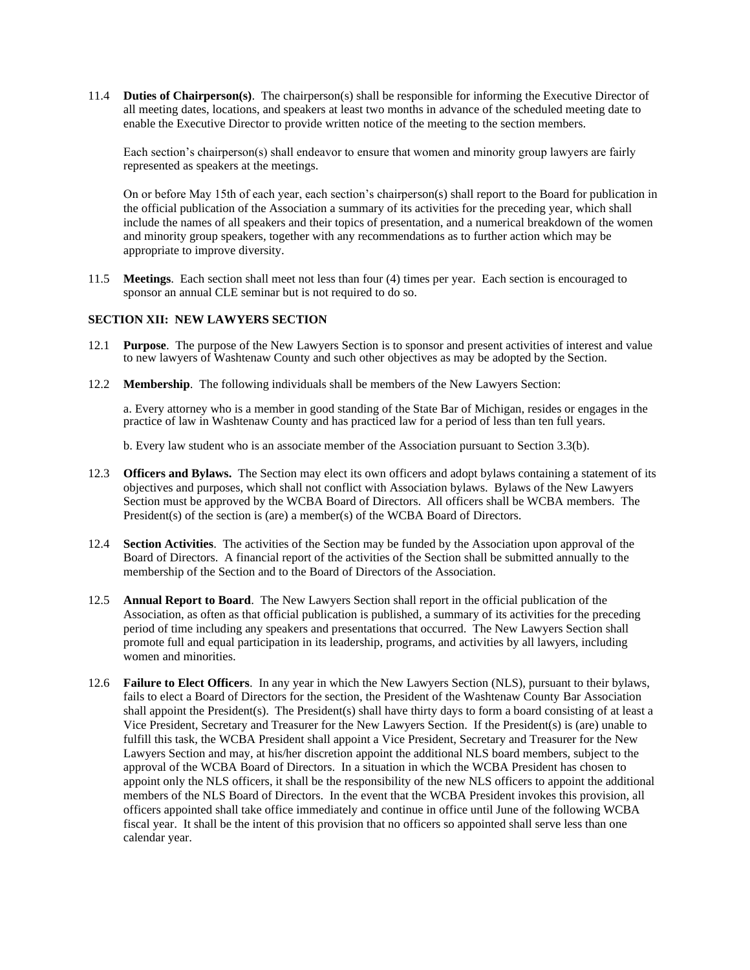11.4 **Duties of Chairperson(s)**. The chairperson(s) shall be responsible for informing the Executive Director of all meeting dates, locations, and speakers at least two months in advance of the scheduled meeting date to enable the Executive Director to provide written notice of the meeting to the section members.

Each section's chairperson(s) shall endeavor to ensure that women and minority group lawyers are fairly represented as speakers at the meetings.

On or before May 15th of each year, each section's chairperson(s) shall report to the Board for publication in the official publication of the Association a summary of its activities for the preceding year, which shall include the names of all speakers and their topics of presentation, and a numerical breakdown of the women and minority group speakers, together with any recommendations as to further action which may be appropriate to improve diversity.

11.5 **Meetings**. Each section shall meet not less than four (4) times per year. Each section is encouraged to sponsor an annual CLE seminar but is not required to do so.

#### **SECTION XII: NEW LAWYERS SECTION**

- 12.1 **Purpose**. The purpose of the New Lawyers Section is to sponsor and present activities of interest and value to new lawyers of Washtenaw County and such other objectives as may be adopted by the Section.
- 12.2 **Membership**. The following individuals shall be members of the New Lawyers Section:

a. Every attorney who is a member in good standing of the State Bar of Michigan, resides or engages in the practice of law in Washtenaw County and has practiced law for a period of less than ten full years.

b. Every law student who is an associate member of the Association pursuant to Section 3.3(b).

- 12.3 **Officers and Bylaws.** The Section may elect its own officers and adopt bylaws containing a statement of its objectives and purposes, which shall not conflict with Association bylaws. Bylaws of the New Lawyers Section must be approved by the WCBA Board of Directors. All officers shall be WCBA members. The President(s) of the section is (are) a member(s) of the WCBA Board of Directors.
- 12.4 **Section Activities**. The activities of the Section may be funded by the Association upon approval of the Board of Directors. A financial report of the activities of the Section shall be submitted annually to the membership of the Section and to the Board of Directors of the Association.
- 12.5 **Annual Report to Board**. The New Lawyers Section shall report in the official publication of the Association, as often as that official publication is published, a summary of its activities for the preceding period of time including any speakers and presentations that occurred. The New Lawyers Section shall promote full and equal participation in its leadership, programs, and activities by all lawyers, including women and minorities.
- 12.6 **Failure to Elect Officers**. In any year in which the New Lawyers Section (NLS), pursuant to their bylaws, fails to elect a Board of Directors for the section, the President of the Washtenaw County Bar Association shall appoint the President(s). The President(s) shall have thirty days to form a board consisting of at least a Vice President, Secretary and Treasurer for the New Lawyers Section. If the President(s) is (are) unable to fulfill this task, the WCBA President shall appoint a Vice President, Secretary and Treasurer for the New Lawyers Section and may, at his/her discretion appoint the additional NLS board members, subject to the approval of the WCBA Board of Directors. In a situation in which the WCBA President has chosen to appoint only the NLS officers, it shall be the responsibility of the new NLS officers to appoint the additional members of the NLS Board of Directors. In the event that the WCBA President invokes this provision, all officers appointed shall take office immediately and continue in office until June of the following WCBA fiscal year. It shall be the intent of this provision that no officers so appointed shall serve less than one calendar year.